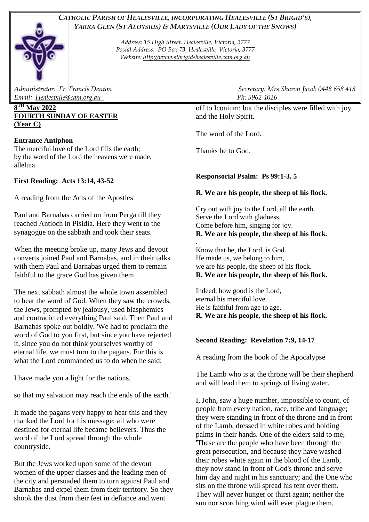## *CATHOLIC PARISH OF HEALESVILLE, INCORPORATING HEALESVILLE (ST BRIGID'S), YARRA GLEN (ST ALOYSIUS) & MARYSVILLE (OUR LADY OF THE SNOWS)*

*Address: 15 High Street, Healesville, Victoria, 3777 Postal Address: PO Box 73, Healesville, Victoria, 3777 Website: [http://www.stbrigidshealesville.cam.org.au](http://www.stbrigidshealesville.cam.org.au/)*

*Email: [Healesville@cam.org.au](mailto:Healesville@cam.org.au) Ph: 5962 4026* 

## **8 TH May 2022 FOURTH SUNDAY OF EASTER (Year C)**

## **Entrance Antiphon**

The merciful love of the Lord fills the earth; by the word of the Lord the heavens were made, alleluia.

## **First Reading: Acts 13:14, 43-52**

A reading from the Acts of the Apostles

Paul and Barnabas carried on from Perga till they reached Antioch in Pisidia. Here they went to the synagogue on the sabbath and took their seats.

When the meeting broke up, many Jews and devout converts joined Paul and Barnabas, and in their talks with them Paul and Barnabas urged them to remain faithful to the grace God has given them.

The next sabbath almost the whole town assembled to hear the word of God. When they saw the crowds, the Jews, prompted by jealousy, used blasphemies and contradicted everything Paul said. Then Paul and Barnabas spoke out boldly. 'We had to proclaim the word of God to you first, but since you have rejected it, since you do not think yourselves worthy of eternal life, we must turn to the pagans. For this is what the Lord commanded us to do when he said:

I have made you a light for the nations,

so that my salvation may reach the ends of the earth.'

It made the pagans very happy to hear this and they thanked the Lord for his message; all who were destined for eternal life became believers. Thus the word of the Lord spread through the whole countryside.

But the Jews worked upon some of the devout women of the upper classes and the leading men of the city and persuaded them to turn against Paul and Barnabas and expel them from their territory. So they shook the dust from their feet in defiance and went

*Administrator: Fr. Francis Denton Secretary: Mrs Sharon Jacob 0448 658 418* 

off to Iconium; but the disciples were filled with joy and the Holy Spirit.

The word of the Lord.

Thanks be to God.

# **Responsorial Psalm: Ps 99:1-3, 5**

## **R. We are his people, the sheep of his flock.**

Cry out with joy to the Lord, all the earth. Serve the Lord with gladness. Come before him, singing for joy. **R. We are his people, the sheep of his flock.**

. Know that he, the Lord, is God. He made us, we belong to him, we are his people, the sheep of his flock. **R. We are his people, the sheep of his flock.**

Indeed, how good is the Lord, eternal his merciful love. He is faithful from age to age. **R. We are his people, the sheep of his flock.**

## **Second Reading: Revelation 7:9, 14-17**

A reading from the book of the Apocalypse

The Lamb who is at the throne will be their shepherd and will lead them to springs of living water.

I, John, saw a huge number, impossible to count, of people from every nation, race, tribe and language; they were standing in front of the throne and in front of the Lamb, dressed in white robes and holding palms in their hands. One of the elders said to me, 'These are the people who have been through the great persecution, and because they have washed their robes white again in the blood of the Lamb, they now stand in front of God's throne and serve him day and night in his sanctuary; and the One who sits on the throne will spread his tent over them. They will never hunger or thirst again; neither the sun nor scorching wind will ever plague them,

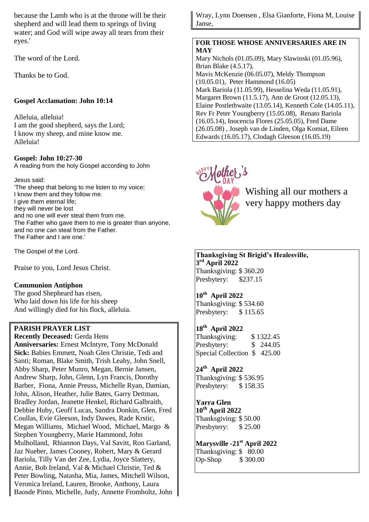because the Lamb who is at the throne will be their shepherd and will lead them to springs of living water; and God will wipe away all tears from their eyes.'

The word of the Lord.

Thanks be to God.

### **Gospel Acclamation: John 10:14**

Alleluia, alleluia! I am the good shepherd, says the Lord; I know my sheep, and mine know me. Alleluia!

#### **Gospel: John 10:27-30**

A reading from the holy Gospel according to John

#### Jesus said:

'The sheep that belong to me listen to my voice; I know them and they follow me. I give them eternal life; they will never be lost and no one will ever steal them from me. The Father who gave them to me is greater than anyone, and no one can steal from the Father. The Father and I are one.'

The Gospel of the Lord.

Praise to you, Lord Jesus Christ.

#### **Communion Antiphon**

The good Shepheard has risen, Who laid down his life for his sheep And willingly died for his flock, alleluia.

## **PARISH PRAYER LIST**

**Recently Deceased:** Gerda Hens **Anniversaries:** Ernest McIntyre, Tony McDonald **Sick:** Babies Emmett, Noah Glen Christie, Tedi and Santi; Roman, Blake Smith, Trish Leahy, John Snell, Abby Sharp, Peter Munro, Megan, Bernie Jansen, Andrew Sharp, John, Glenn, Lyn Francis, Dorothy Barber, Fiona, Annie Preuss, Michelle Ryan, Damian, John, Alison, Heather, Julie Bates, Garry Dettman, Bradley Jordan, Jeanette Henkel, Richard Galbraith, Debbie Huby, Geoff Lucas, Sandra Donkin, Glen, Fred Coullas, Evie Gleeson, Indy Dawes, Rade Krstic, Megan Williams, Michael Wood, Michael, Margo & Stephen Youngberry, Marie Hammond, John Mulholland, Rhiannon Days, Val Savitt, Ron Garland, Jaz Nueber, James Cooney, Robert, Mary & Gerard Bariola, Tilly Van der Zee, Lydia, Joyce Slattery, Annie, Bob Ireland, Val & Michael Christie, Ted & Peter Bowling, Natasha, Mia, James, Mitchell Wilson, Veronica Ireland, Lauren, Brooke, Anthony, Laura Baosde Pinto, Michelle, Judy, Annette Fromholtz, John Wray, Lynn Doensen , Elsa Gianforte, Fiona M, Louise Janse,

#### **FOR THOSE WHOSE ANNIVERSARIES ARE IN MAY**

Mary Nichols (01.05.09), Mary Slawinski (01.05.96), Brian Blake (4.5.17), Mavis McKenzie (06.05.07), Meldy Thompson (10.05.01), Peter Hammond (16.05) Mark Bariola (11.05.99), Hesselina Weda (11.05.91), Margaret Brown (11.5.17), Ann de Groot (12.05.13), Elaine Postlethwaite (13.05.14), Kenneth Cole (14.05.11), Rev Fr Peter Youngberry (15.05.08), Renato Bariola (16.05.14), Inocencia Flores (25.05.05), Fred Dame (26.05.08) , Joseph van de Linden, Olga Komiat, Eileen Edwards (16.05.17), Clodagh Gleeson (16.05.19)



Wishing all our mothers a very happy mothers day

**[Thanksgiv](https://creativecommons.org/licenses/by-nc/3.0/)ing St Brigid's Healesville, 3 rd April 2022**  Thanksgiving: \$ 360.20 Presbytery: \$237.15

**10th April 2022** 

Thanksgiving: \$ 534.60 Presbytery: \$115.65

## **18th April 2022**

Thanksgiving: \$ 1322.45 Presbytery: \$ 244.05 Special Collection \$ 425.00

**24th April 2022**  Thanksgiving: \$ 536.95 Presbytery: \$158.35

**Yarra Glen 10th April 2022**  Thanksgiving: \$ 50.00 Presbytery: \$25.00

**Marysville -21st April 2022**  Thanksgiving: \$ 80.00 Op-Shop \$ 300.00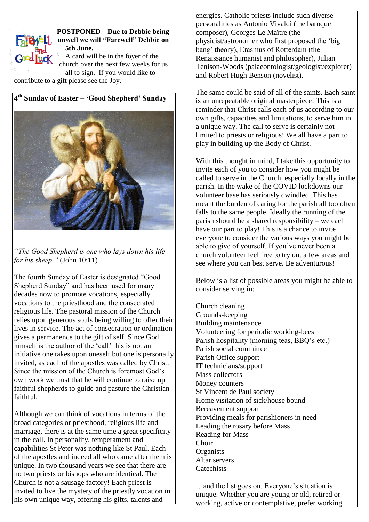

### **POSTPONED – Due to Debbie being unwell we will "Farewell" Debbie on 5th June.**

A card will be in the foyer of the church over the next few weeks for us all to sign. If you would like to

[contribut](https://www.pngall.com/farewell-png)e to a gift please see the Joy.



*"The Good Shepherd is one who lays down his life for his sheep."* (John 10:11)

The fourth Sunday of Easter is designated "Good Shepherd Sunday" and has been used for many decades now to promote vocations, especially vocations to the priesthood and the consecrated religious life. The pastoral mission of the Church relies upon generous souls being willing to offer their lives in service. The act of consecration or ordination gives a permanence to the gift of self. Since God himself is the author of the 'call' this is not an initiative one takes upon oneself but one is personally invited, as each of the apostles was called by Christ. Since the mission of the Church is foremost God's own work we trust that he will continue to raise up faithful shepherds to guide and pasture the Christian faithful.

Although we can think of vocations in terms of the broad categories or priesthood, religious life and marriage, there is at the same time a great specificity in the call. In personality, temperament and capabilities St Peter was nothing like St Paul. Each of the apostles and indeed all who came after them is unique. In two thousand years we see that there are no two priests or bishops who are identical. The Church is not a sausage factory! Each priest is invited to live the mystery of the priestly vocation in his own unique way, offering his gifts, talents and

energies. Catholic priests include such diverse personalities as Antonio Vivaldi (the baroque composer), Georges Le Maître (the physicist/astronomer who first proposed the 'big bang' theory), Erasmus of Rotterdam (the Renaissance humanist and philosopher), Julian Tenison-Woods (palaeontologist/geologist/explorer) and Robert Hugh Benson (novelist).

The same could be said of all of the saints. Each saint is an unrepeatable original masterpiece! This is a reminder that Christ calls each of us according to our own gifts, capacities and limitations, to serve him in a unique way. The call to serve is certainly not limited to priests or religious! We all have a part to play in building up the Body of Christ.

With this thought in mind, I take this opportunity to invite each of you to consider how you might be called to serve in the Church, especially locally in the parish. In the wake of the COVID lockdowns our volunteer base has seriously dwindled. This has meant the burden of caring for the parish all too often falls to the same people. Ideally the running of the parish should be a shared responsibility – we each have our part to play! This is a chance to invite everyone to consider the various ways you might be able to give of yourself. If you've never been a church volunteer feel free to try out a few areas and see where you can best serve. Be adventurous!

Below is a list of possible areas you might be able to consider serving in:

Church cleaning Grounds-keeping Building maintenance Volunteering for periodic working-bees Parish hospitality (morning teas, BBQ's etc.) Parish social committee Parish Office support IT technicians/support Mass collectors Money counters St Vincent de Paul society Home visitation of sick/house bound Bereavement support Providing meals for parishioners in need Leading the rosary before Mass Reading for Mass Choir **Organists** Altar servers **Catechists** 

…and the list goes on. Everyone's situation is unique. Whether you are young or old, retired or working, active or contemplative, prefer working